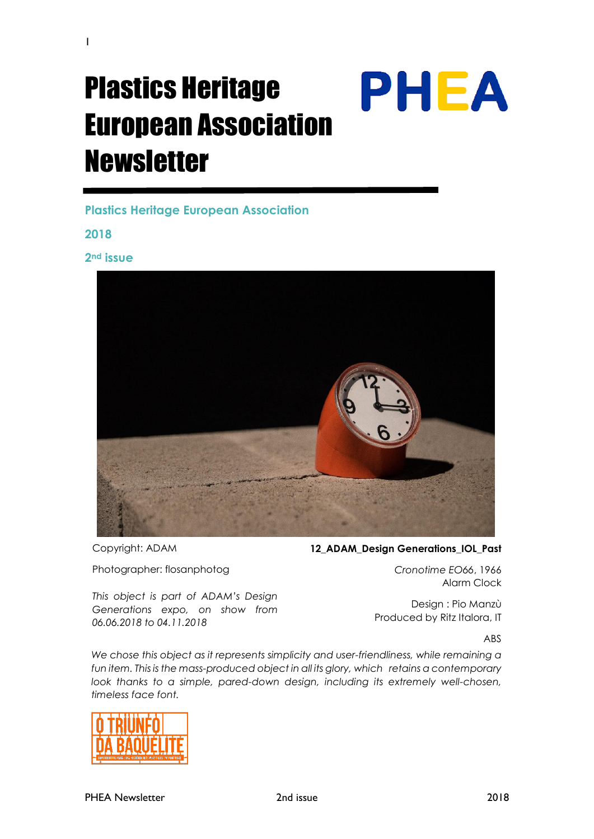# Plastics Heritage European Association **Newsletter**

**Plastics Heritage European Association**

**2018**

1

**2nd issue**



Copyright: ADAM

Photographer: flosanphotog

*06.06.2018 to 04.11.2018*

12 ADAM Design Generations IOL Past

*Cronotime EO66*, 1966 Alarm Clock

**PHEA** 

Design : Pio Manzù

Produced by Ritz Italora, IT *This object is part of ADAM's Design Generations expo, on show from* 

ABS

We chose this object as it represents simplicity and user-friendliness, while remaining a fun item. This is the mass-produced object in all its glory, which retains a contemporary look thanks to a simple, pared-down design, including its extremely well-chosen, *timeless face font.*

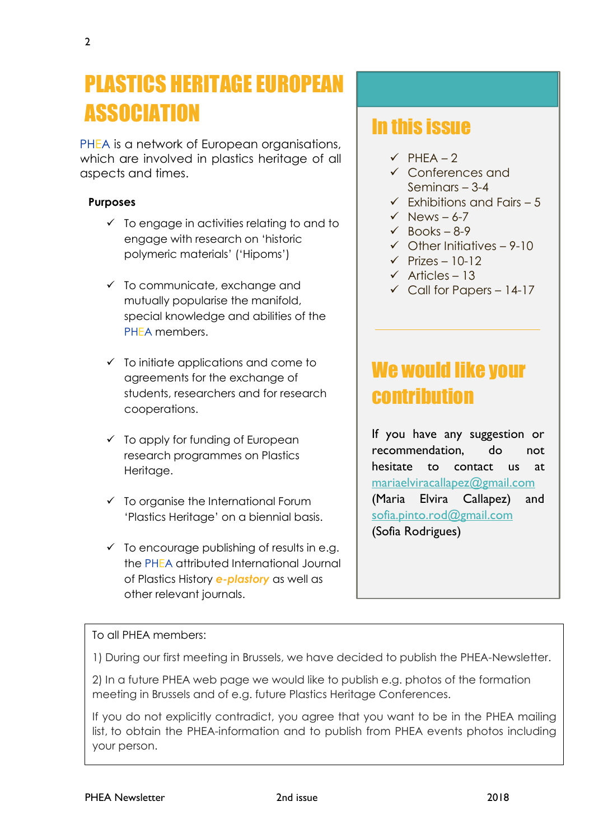## PLASTICS HERITAGE EUROPEAN **ASSOCIATION**

PHEA is a network of European organisations, which are involved in plastics heritage of all aspects and times.

#### **Purposes**

- $\checkmark$  To engage in activities relating to and to engage with research on 'historic polymeric materials' ('Hipoms')
- $\checkmark$  To communicate, exchange and mutually popularise the manifold, special knowledge and abilities of the PHEA members.
- $\checkmark$  To initiate applications and come to agreements for the exchange of students, researchers and for research cooperations.
- $\checkmark$  To apply for funding of European research programmes on Plastics Heritage.
- $\checkmark$  To organise the International Forum 'Plastics Heritage' on a biennial basis.
- $\checkmark$  To encourage publishing of results in e.g. the PHEA attributed International Journal of Plastics History *e-plastory* as well as other relevant journals.

## In this issue

- $\checkmark$  PHEA 2
- ✓ Conferences and Seminars – 3-4
- $\checkmark$  Fxhibitions and Fairs 5
- $\checkmark$  News 6-7
- $\checkmark$  Books 8-9
- $\checkmark$  Other Initiatives 9-10
- $\checkmark$  Prizes 10-12
- $\checkmark$  Articles 13
- $\checkmark$  Call for Papers 14-17

## We would like your contribution

If you have any suggestion or recommendation, do not hesitate to contact us at [mariaelviracallapez@gmail.com](mailto:mariaelviracallapez@gmail.com) (Maria Elvira Callapez) and [sofia.pinto.rod@gmail.com](mailto:sofia.pinto.rod@gmail.com) (Sofia Rodrigues)

#### To all PHEA members:

1) During our first meeting in Brussels, we have decided to publish the PHEA-Newsletter.

 $\overline{a}$ 

2) In a future PHEA web page we would like to publish e.g. photos of the formation meeting in Brussels and of e.g. future Plastics Heritage Conferences.

your person. If you do not explicitly contradict, you agree that you want to be in the PHEA mailing list, to obtain the PHEA-information and to publish from PHEA events photos including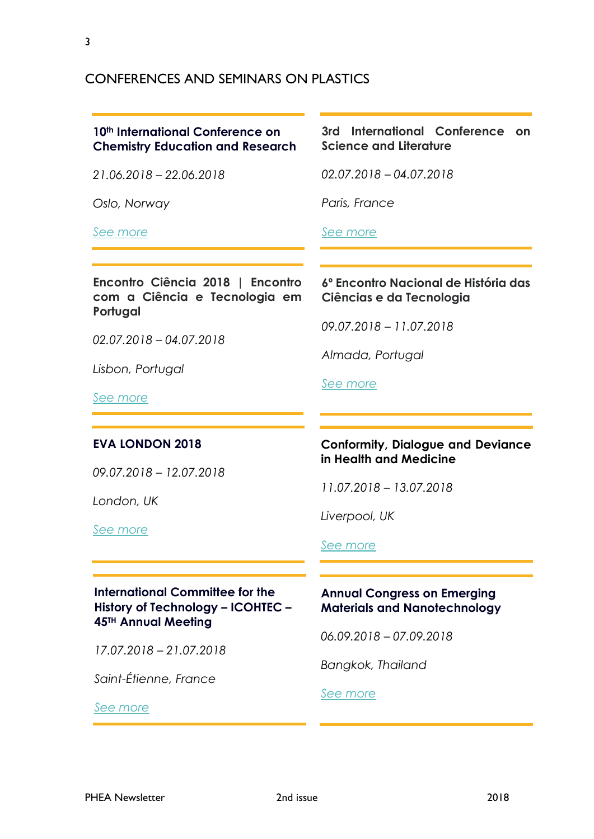### CONFERENCES AND SEMINARS ON PLASTICS

#### **10th International Conference on Chemistry Education and Research**

*21.06.2018 – 22.06.2018*

*Oslo, Norway*

#### *[See more](https://chemistryeducation.chemistryconferences.org/)*

#### **3rd International Conference on Science and Literature**

*02.07.2018 – 04.07.2018*

*Paris, France*

#### *See [more](https://networks.h-net.org/node/73374/announcements/1405472/3rd-international-conference-science-and-literature-2nd-cfp)*

#### **Encontro Ciência 2018 | Encontro com a Ciência e Tecnologia em Portugal**

*02.07.2018 – 04.07.2018*

*Lisbon, Portugal*

#### *See [more](http://www.encontrociencia.pt/home/en.asp)*

#### **6º Encontro Nacional de História das Ciências e da Tecnologia**

*09.07.2018 – 11.07.2018*

*Almada, Portugal*

*[See more](https://enhct2018.wordpress.com/)*

#### **EVA LONDON 2018**

*09.07.2018 – 12.07.2018*

*London, UK*

*[See more](http://www.eva-london.org/eva-london-2018/)*

#### **Conformity, Dialogue and Deviance in Health and Medicine**

*11.07.2018 – 13.07.2018*

*Liverpool, UK*

#### *See [more](https://www.liverpool.ac.uk/history/events/sshm/)*

#### **International Committee for the History of Technology – ICOHTEC – 45TH Annual Meeting**

*17.07.2018 – 21.07.2018*

*Saint-Étienne, France*

*[See more](https://www.icohtec2018.fr/)*

#### **Annual Congress on Emerging Materials and Nanotechnology**

*06.09.2018 – 07.09.2018*

*Bangkok, Thailand*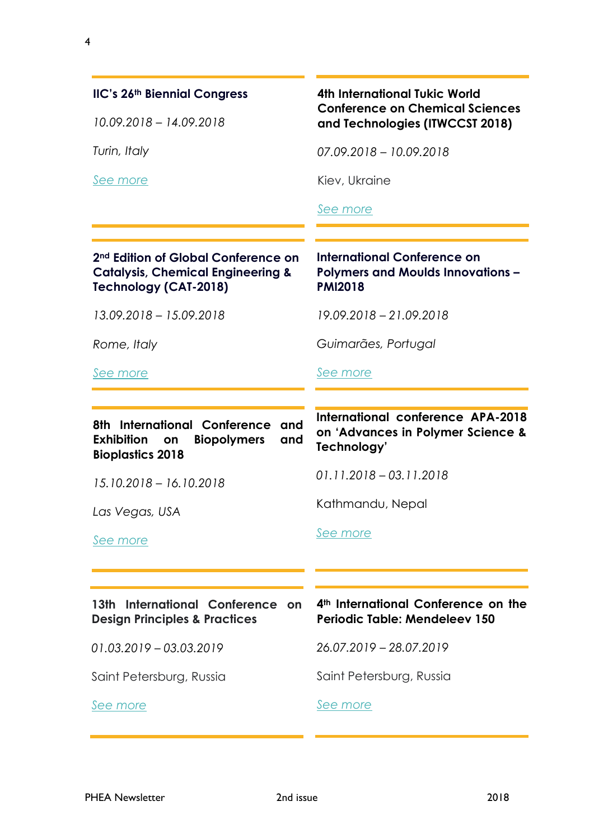#### **IIC's 26th Biennial Congress**

*10.09.2018 – 14.09.2018*

*Turin, Italy*

*See [more](https://www.iiconservation.org/node/7576)*

#### **4th International Tukic World Conference on Chemical Sciences and Technologies (ITWCCST 2018)**

*07.09.2018 – 10.09.2018*

Kiev, Ukraine

*[See more](http://www.itwccst2018.com/en/)*

#### **2nd Edition of Global Conference on Catalysis, Chemical Engineering & Technology (CAT-2018)**

*13.09.2018 – 15.09.2018*

*Rome, Italy*

*[See more](https://catalysis-conferences.magnusgroup.org/)*

## **Polymers and Moulds Innovations – PMI2018**

**International Conference on** 

*19.09.2018 – 21.09.2018*

*Guimarães, Portugal*

#### *[See more](http://www.pmiconference.eu/)*

#### **8th International Conference and Exhibition on Biopolymers and Bioplastics 2018 International conference APA-2018 on 'Advances in Polymer Science &**

**Technology'** *01.11.2018 – 03.11.2018*

*15.10.2018 – 16.10.2018*

*Las Vegas, USA*

*[See more](https://biopolymers-bioplastics.conferenceseries.com/)*

*[See more](http://apa-2018.com/)*

Kathmandu, Nepal

| 13th International Conference on         |  |  |
|------------------------------------------|--|--|
| <b>Design Principles &amp; Practices</b> |  |  |

*01.03.2019 – 03.03.2019*

Saint Petersburg, Russia

*[See more](http://designprinciplesandpractices.com/2019-conference)*

**4th International Conference on the Periodic Table: Mendeleev 150**

*26.07.2019 – 28.07.2019*

Saint Petersburg, Russia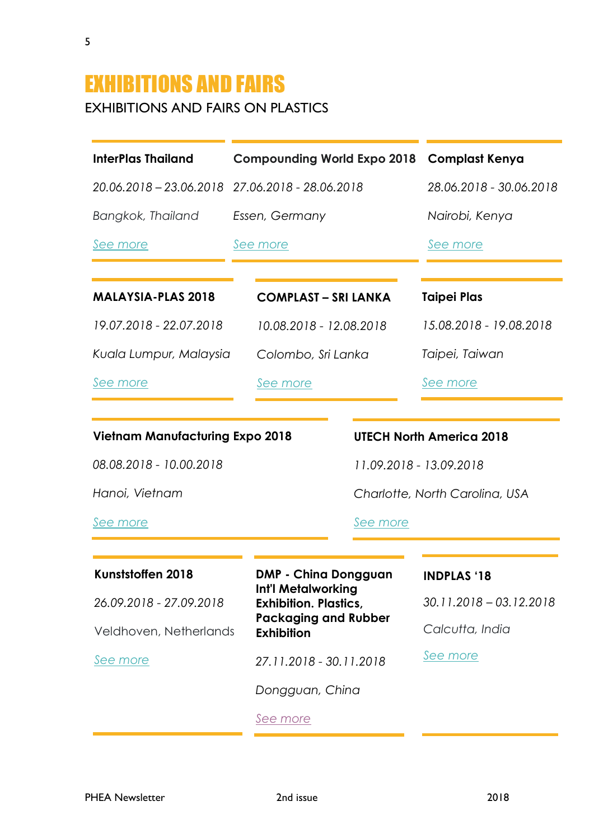## EXHIBITIONS AND FAIRS EXHIBITIONS AND FAIRS ON PLASTICS

5

| <b>InterPlas Thailand</b>              | <b>Compounding World Expo 2018 Complast Kenya</b>  |                                 |  |
|----------------------------------------|----------------------------------------------------|---------------------------------|--|
| 20.06.2018 - 23.06.2018                | 27.06.2018 - 28.06.2018                            | 28.06.2018 - 30.06.2018         |  |
| Bangkok, Thailand                      | Essen, Germany                                     | Nairobi, Kenya                  |  |
| See more                               | See more                                           | See more                        |  |
| <b>MALAYSIA-PLAS 2018</b>              | <b>COMPLAST - SRI LANKA</b>                        | <b>Taipei Plas</b>              |  |
| 19.07.2018 - 22.07.2018                | 10.08.2018 - 12.08.2018                            | 15.08.2018 - 19.08.2018         |  |
| Kuala Lumpur, Malaysia                 | Colombo, Sri Lanka                                 | Taipei, Taiwan                  |  |
| See more                               | See more                                           | See more                        |  |
|                                        |                                                    |                                 |  |
| <b>Vietnam Manufacturing Expo 2018</b> |                                                    | <b>UTECH North America 2018</b> |  |
| 08.08.2018 - 10.00.2018                |                                                    | 11.09.2018 - 13.09.2018         |  |
| Hanoi, Vietnam                         |                                                    | Charlotte, North Carolina, USA  |  |
| See more                               | See more                                           |                                 |  |
|                                        |                                                    |                                 |  |
| Kunststoffen 2018                      | <b>DMP - China Dongguan</b>                        | <b>INDPLAS '18</b>              |  |
| 26.09.2018 - 27.09.2018                | Int'l Metalworking<br><b>Exhibition. Plastics,</b> | $30.11.2018 - 03.12.2018$       |  |
| Veldhoven, Netherlands                 | <b>Packaging and Rubber</b><br><b>Exhibition</b>   | Calcutta, India                 |  |
| See more                               | 27.11.2018 - 30.11.2018                            | See more                        |  |
|                                        | Dongguan, China                                    |                                 |  |
|                                        | <u>See more</u>                                    |                                 |  |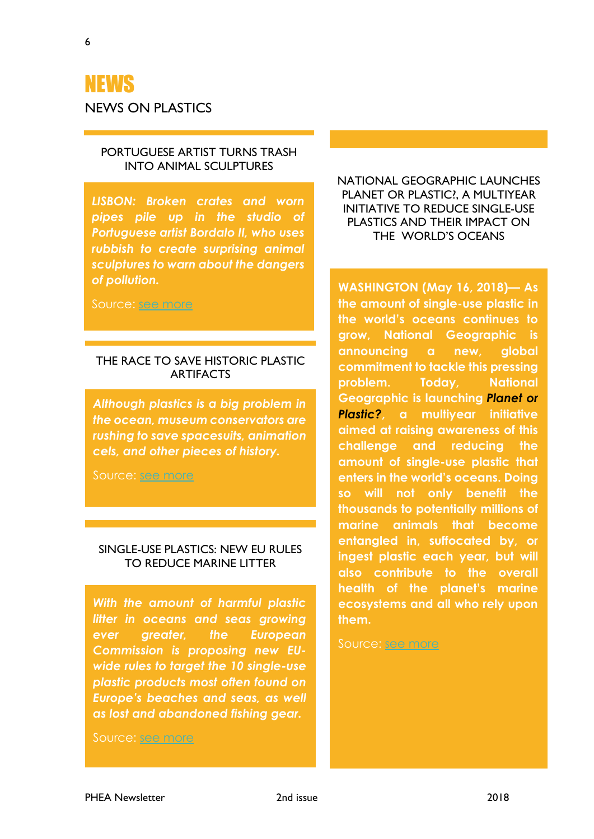NEWS

NEWS ON PLASTICS

*pipes pile up in the studio of Portuguese artist Bordalo II, who uses rubbish to create surprising animal sculptures to warn about the dangers of pollution.*

*LISBON: Broken crates and worn* 

PORTUGUESE ARTIST TURNS TRASH INTO ANIMAL SCULPTURES

Source: [see more](http://www.dailystar.com.lb/Arts-and-Ent/People/2018/May-24/450718-portuguese-artist-turns-trash-into-animal-sculptures.ashx)

#### THE RACE TO SAVE HISTORIC PLASTIC **ARTIFACTS**

*Although plastics is a big problem in the ocean, museum conservators are rushing to save spacesuits, animation cels, and other pieces of history.*

Source: [see more](https://news.nationalgeographic.com/2018/05/preserving-plastic-art-spacesuits-science/?beta=true)

#### SINGLE-USE PLASTICS: NEW EU RULES TO REDUCE MARINE LITTER

*With the amount of harmful plastic litter in oceans and seas growing ever greater, the European Commission is proposing new EUwide rules to target the 10 single-use plastic products most often found on Europe's beaches and seas, as well as lost and abandoned fishing gear.*

Source: [see more](http://europa.eu/rapid/press-release_IP-18-3927_en.htm)

NATIONAL GEOGRAPHIC LAUNCHES PLANET OR PLASTIC?, A MULTIYEAR INITIATIVE TO REDUCE SINGLE-USE PLASTICS AND THEIR IMPACT ON THE WORLD'S OCEANS

**WASHINGTON (May 16, 2018)— As the amount of single-use plastic in the world's oceans continues to grow, National Geographic is announcing a new, global commitment to tackle this pressing problem. Today, National Geographic is launching** *[Planet or](http://natgeo.com/planetorplastic)  [Plastic?](http://natgeo.com/planetorplastic)***, a multiyear initiative aimed at raising awareness of this challenge and reducing the amount of single-use plastic that enters in the world's oceans. Doing so will not only benefit the thousands to potentially millions of marine animals that become entangled in, suffocated by, or ingest plastic each year, but will also contribute to the overall health of the planet's marine ecosystems and all who rely upon them.**

Source: [see more](http://press.nationalgeographic.com/2018/05/16/national-geographic-launches-planet-or-plastic-a-multiyear-initiative-to-reduce-single-use-plastics-and-their-impact-on-the-worlds-oceans/)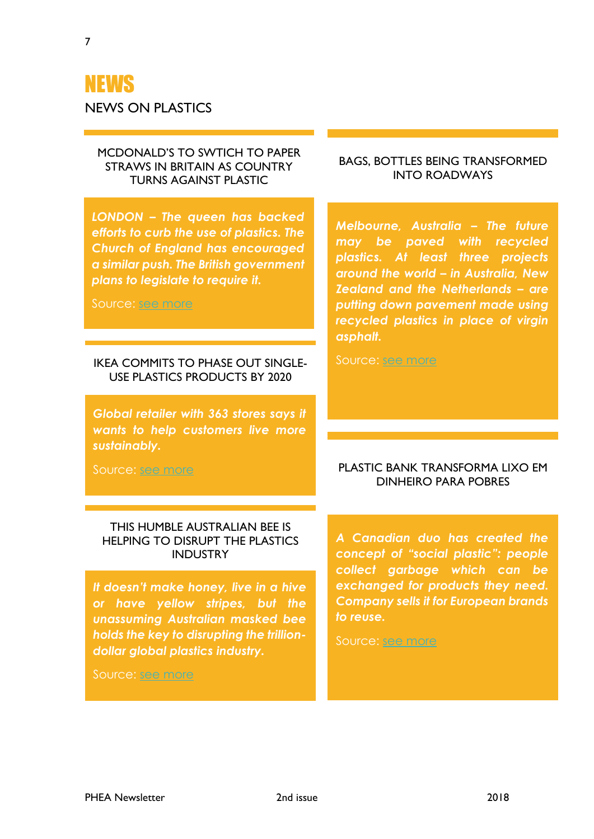## NEWS

NEWS ON PLASTICS

#### MCDONALD'S TO SWTICH TO PAPER STRAWS IN BRITAIN AS COUNTRY TURNS AGAINST PLASTIC

*LONDON – The queen has backed efforts to curb the use of plastics. The Church of England has encouraged a similar push. The British government plans to legislate to require it.*

Source: [see more](https://www.nytimes.com/2018/06/15/business/mcdonalds-plastic-straws-britain.html)

#### IKEA COMMITS TO PHASE OUT SINGLE-USE PLASTICS PRODUCTS BY 2020

*Global retailer with 363 stores says it wants to help customers live more sustainably.*

Source: [see more](https://www.theguardian.com/business/2018/jun/07/ikea-commits-to-phase-out-single-use-plastic-products-by-2020)

#### BAGS, BOTTLES BEING TRANSFORMED INTO ROADWAYS

*Melbourne, Australia – The future may be paved with recycled plastics. At least three projects around the world – in Australia, New Zealand and the Netherlands – are putting down pavement made using recycled plastics in place of virgin asphalt.*

Source: [see more](http://www.plasticsnews.com/article/20180615/NEWS/180619927/bags-bottles-being-transformed-into-roadways)

#### PLASTIC BANK TRANSFORMA LIXO EM DINHEIRO PARA POBRES

#### THIS HUMBLE AUSTRALIAN BEE IS HELPING TO DISRUPT THE PLASTICS INDUSTRY

*It doesn't make honey, live in a hive or have yellow stripes, but the unassuming Australian masked bee holds the key to disrupting the trilliondollar global plastics industry.*

Source: [see more](https://www.smh.com.au/national/this-humble-australian-bee-is-helping-to-disrupt-the-plastics-industry-20180530-p4zic7.html)

*A Canadian duo has created the concept of "social plastic": people collect garbage which can be exchanged for products they need. Company sells it for European brands to reuse.*

Source: [see more](https://www.dn.pt/dinheiro/interior/plastic-bank-transforma-lixo-em-dinheiro-para-os-pobres-9225308.html)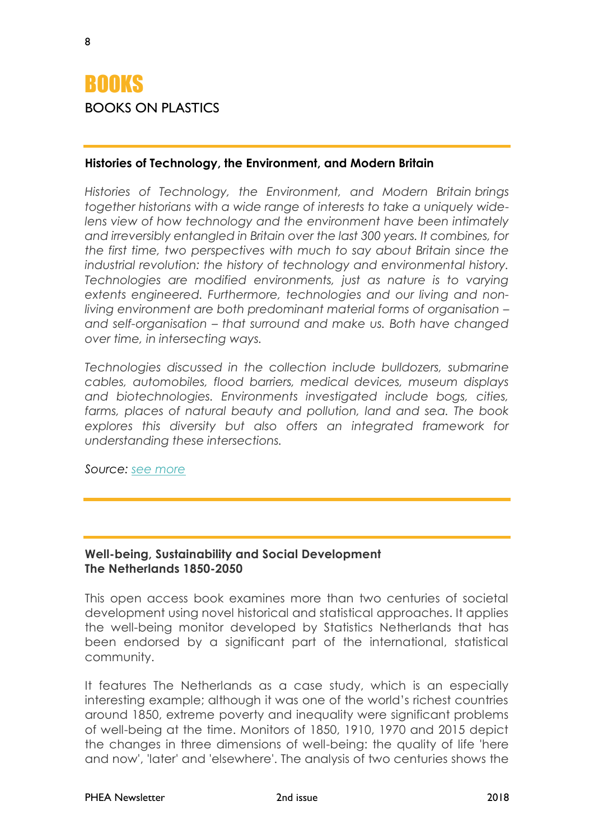## **ROOKS** BOOKS ON PLASTICS

#### **Histories of Technology, the Environment, and Modern Britain**

*Histories of Technology, the Environment, and Modern Britain brings together historians with a wide range of interests to take a uniquely widelens view of how technology and the environment have been intimately and irreversibly entangled in Britain over the last 300 years. It combines, for the first time, two perspectives with much to say about Britain since the industrial revolution: the history of technology and environmental history. Technologies are modified environments, just as nature is to varying extents engineered. Furthermore, technologies and our living and nonliving environment are both predominant material forms of organisation – and self-organisation – that surround and make us. Both have changed over time, in intersecting ways.*

*Technologies discussed in the collection include bulldozers, submarine cables, automobiles, flood barriers, medical devices, museum displays and biotechnologies. Environments investigated include bogs, cities, farms, places of natural beauty and pollution, land and sea. The book explores this diversity but also offers an integrated framework for understanding these intersections.*

*Source: [see more](https://www.ucl.ac.uk/ucl-press/browse-books/histories-of-technology?utm_source=jiscmail&utm_medium=listserv&utm_campaign=jiscmail_MERSENNE_agar)*

#### **Well-being, Sustainability and Social Development The Netherlands 1850-2050**

This open access book examines more than two centuries of societal development using novel historical and statistical approaches. It applies the well-being monitor developed by Statistics Netherlands that has been endorsed by a significant part of the international, statistical community.

It features The Netherlands as a case study, which is an especially interesting example; although it was one of the world's richest countries around 1850, extreme poverty and inequality were significant problems of well-being at the time. Monitors of 1850, 1910, 1970 and 2015 depict the changes in three dimensions of well-being: the quality of life 'here and now', 'later' and 'elsewhere'. The analysis of two centuries shows the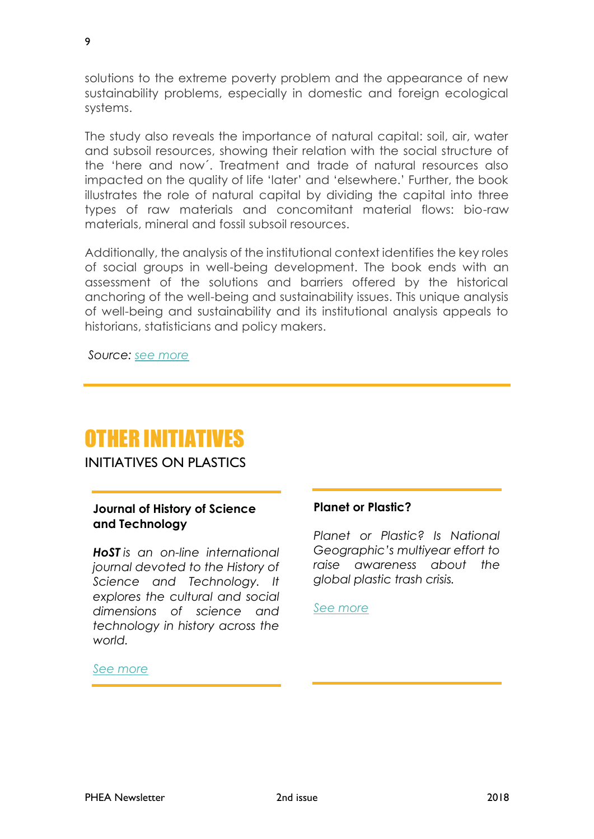solutions to the extreme poverty problem and the appearance of new sustainability problems, especially in domestic and foreign ecological systems.

The study also reveals the importance of natural capital: soil, air, water and subsoil resources, showing their relation with the social structure of the 'here and now´. Treatment and trade of natural resources also impacted on the quality of life 'later' and 'elsewhere.' Further, the book illustrates the role of natural capital by dividing the capital into three types of raw materials and concomitant material flows: bio-raw materials, mineral and fossil subsoil resources.

Additionally, the analysis of the institutional context identifies the key roles of social groups in well-being development. The book ends with an assessment of the solutions and barriers offered by the historical anchoring of the well-being and sustainability issues. This unique analysis of well-being and sustainability and its institutional analysis appeals to historians, statisticians and policy makers.

*Source: [see more](https://link.springer.com/book/10.1007/978-3-319-76696-6#about)*

## OTHER INITIATIVES

INITIATIVES ON PLASTICS

#### **Journal of History of Science and Technology**

*HoST is an on-line international journal devoted to the History of Science and Technology. It explores the cultural and social dimensions of science and technology in history across the world.*

#### **Planet or Plastic?**

*Planet or Plastic? Is National Geographic's multiyear effort to raise awareness about the global plastic trash crisis.*

*[See more](https://www.nationalgeographic.com/environment/planetorplastic/?beta=true)*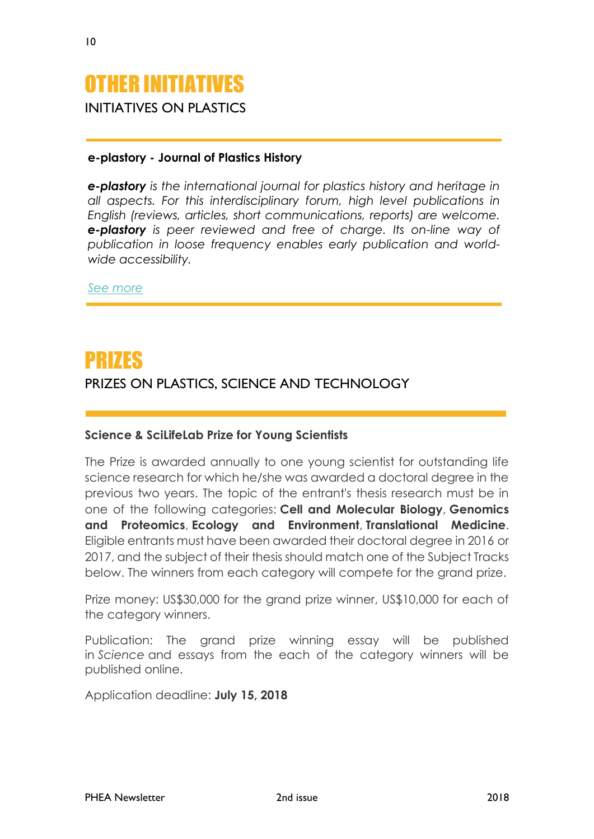

#### **e-plastory - Journal of Plastics History**

*e-plastory is the international journal for plastics history and heritage in [all aspects. For this interdisciplinary forum, high level publications in](http://malaysiaplas.com.my/)  English (reviews, articles, short communications, reports) are welcome. e-plastory is peer reviewed and free of charge. Its on-line way of publication in loose frequency enables early publication and worldwide accessibility.*

*[See more](http://www.dg-kunststoffgeschichte.de/e-plastory/index.php/e-plastory)*

## PRIZES

#### PRIZES ON PLASTICS, SCIENCE AND TECHNOLOGY

#### **Science & SciLifeLab Prize for Young Scientists**

The Prize is awarded annually to one young scientist for outstanding life science research for which he/she was awarded a doctoral degree in the previous two years. The topic of the entrant's thesis research must be in one of the following categories: **Cell and Molecular Biology**, **Genomics and Proteomics**, **Ecology and Environment**, **Translational Medicine**. Eligible entrants must have been awarded their doctoral degree in 2016 or 2017, and the subject of their thesis should match one of the Subject Tracks below. The winners from each category will compete for the grand prize.

Prize money: US\$30,000 for the grand prize winner, US\$10,000 for each of the category winners.

Publication: The grand prize winning essay will be published in *Science* and essays from the each of the category winners will be published online.

Application deadline: **July 15, 2018**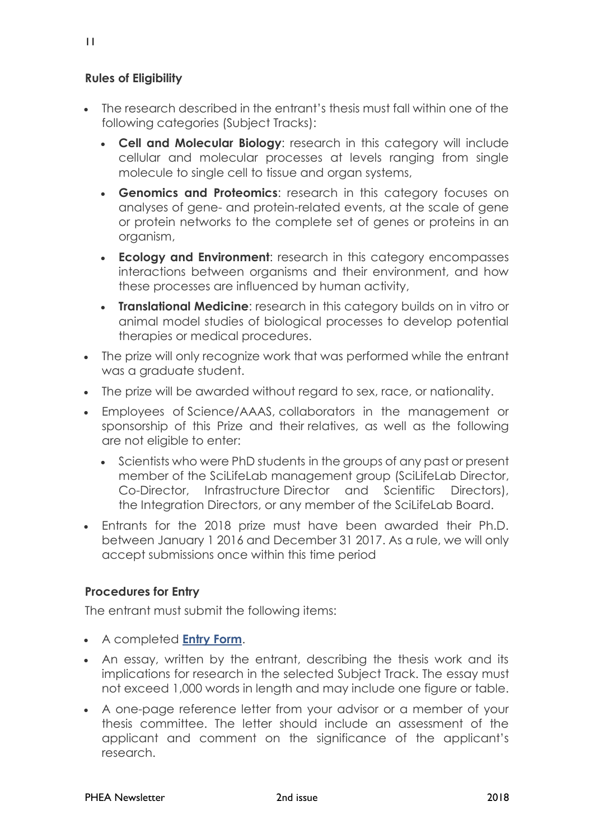11

#### **Rules of Eligibility**

- The research described in the entrant's thesis must fall within one of the following categories (Subject Tracks):
	- **Cell and Molecular Biology**: research in this category will include cellular and molecular processes at levels ranging from single molecule to single cell to tissue and organ systems,
	- **Genomics and Proteomics**: research in this category focuses on analyses of gene- and protein-related events, at the scale of gene or protein networks to the complete set of genes or proteins in an organism,
	- **Ecology and Environment**: research in this category encompasses interactions between organisms and their environment, and how these processes are influenced by human activity,
	- **Translational Medicine**: research in this category builds on in vitro or animal model studies of biological processes to develop potential therapies or medical procedures.
- The prize will only recognize work that was performed while the entrant was a graduate student.
- The prize will be awarded without regard to sex, race, or nationality.
- Employees of Science/AAAS, collaborators in the management or sponsorship of this Prize and their relatives, as well as the following are not eligible to enter:
	- Scientists who were PhD students in the groups of any past or present member of the SciLifeLab management group (SciLifeLab Director, Co-Director, Infrastructure Director and Scientific Directors), the Integration Directors, or any member of the SciLifeLab Board.
- Entrants for the 2018 prize must have been awarded their Ph.D. between January 1 2016 and December 31 2017. As a rule, we will only accept submissions once within this time period

#### **Procedures for Entry**

The entrant must submit the following items:

- A completed **[Entry Form](https://scilifelab.secure-platform.com/a/solicitations/home/9)**.
- An essay, written by the entrant, describing the thesis work and its implications for research in the selected Subject Track. The essay must not exceed 1,000 words in length and may include one figure or table.
- A one-page reference letter from your advisor or a member of your thesis committee. The letter should include an assessment of the applicant and comment on the significance of the applicant's research.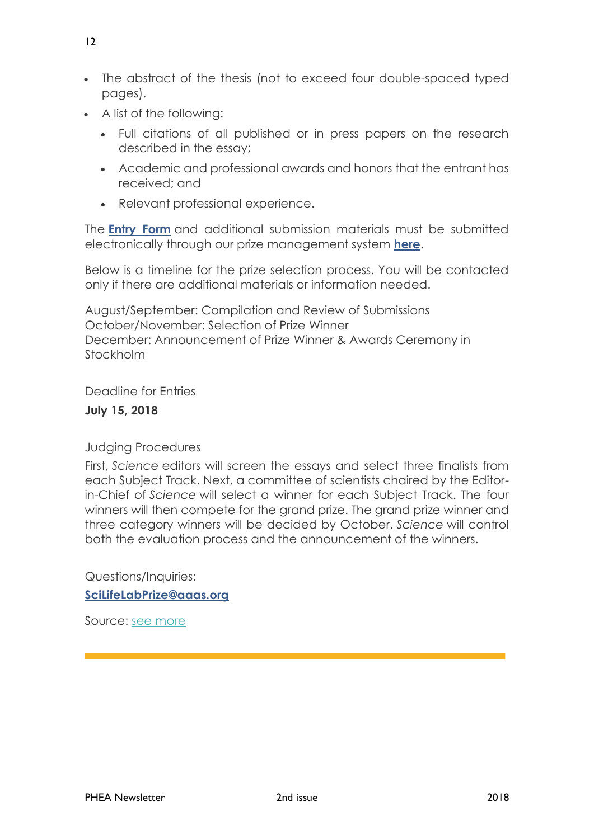- The abstract of the thesis (not to exceed four double-spaced typed pages).
- A list of the following:
	- Full citations of all published or in press papers on the research described in the essay;
	- Academic and professional awards and honors that the entrant has received; and
	- Relevant professional experience.

The **[Entry Form](https://scilifelab.secure-platform.com/a/solicitations/home/9)** and additional submission materials must be submitted electronically through our prize management system **[here](https://scilifelab.secure-platform.com/a/solicitations/home/9)**.

Below is a timeline for the prize selection process. You will be contacted only if there are additional materials or information needed.

August/September: Compilation and Review of Submissions October/November: Selection of Prize Winner December: Announcement of Prize Winner & Awards Ceremony in Stockholm

Deadline for Entries

#### **July 15, 2018**

Judging Procedures

First, *Science* editors will screen the essays and select three finalists from each Subject Track. Next, a committee of scientists chaired by the Editorin-Chief of *Science* will select a winner for each Subject Track. The four winners will then compete for the grand prize. The grand prize winner and three category winners will be decided by October. *Science* will control both the evaluation process and the announcement of the winners.

Questions/Inquiries:

**[SciLifeLabPrize@aaas.org](mailto:BoyalifeSciencePrize@aaas.org)**

Source: [see more](http://www.sciencemag.org/science-scilifelab-prize-young-scientists)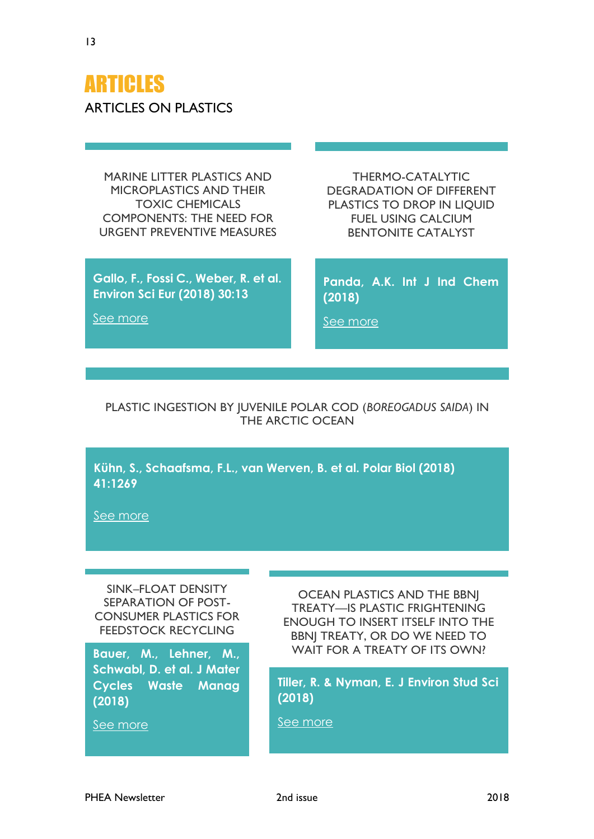## ARTICLES ARTICLES ON PLASTICS

MARINE LITTER PLASTICS AND MICROPLASTICS AND THEIR TOXIC CHEMICALS COMPONENTS: THE NEED FOR URGENT PREVENTIVE MEASURES

**Gallo, F., Fossi C., Weber, R. et al. Environ Sci Eur (2018) 30:13**

THERMO-CATALYTIC DEGRADATION OF DIFFERENT PLASTICS TO DROP IN LIQUID FUEL USING CALCIUM BENTONITE CATALYST

**Panda, A.K. Int J Ind Chem (2018)**

[See more](https://doi.org/10.1007/s40090-018-0147-2)

[See more](https://doi.org/10.1186/s12302-018-0139-z)

#### PLASTIC INGESTION BY JUVENILE POLAR COD (*BOREOGADUS SAIDA*) IN THE ARCTIC OCEAN

**Kühn, S., Schaafsma, F.L., van Werven, B. et al. Polar Biol (2018) 41:1269**

[See more](https://doi.org/10.1007/s00300-018-2283-8)

SINK–FLOAT DENSITY SEPARATION OF POST-CONSUMER PLASTICS FOR FEEDSTOCK RECYCLING

**Schwabl, D. et al. J Mater Cycles Waste Manag (2018)**

[See more](https://doi.org/10.1007/s10163-018-0748-z)

OCEAN PLASTICS AND THE BBNJ TREATY—IS PLASTIC FRIGHTENING ENOUGH TO INSERT ITSELF INTO THE BBNJ TREATY, OR DO WE NEED TO Bauer, M., Lehner, M., WAIT FOR A TREATY OF ITS OWN?

> **Tiller, R. & Nyman, E. J Environ Stud Sci (2018)**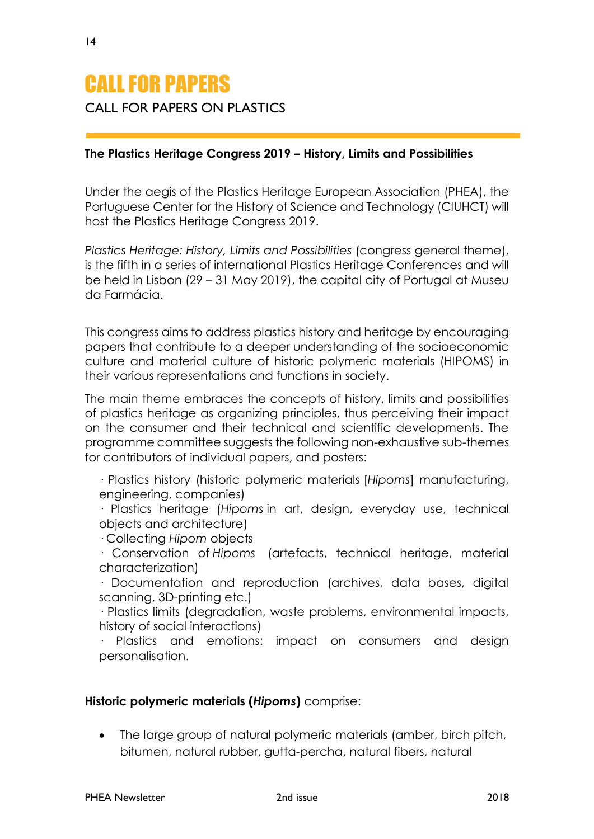## CALL FOR PAPERS

#### CALL FOR PAPERS ON PLASTICS

#### **The Plastics Heritage Congress 2019 – History, Limits and Possibilities**

Under the aegis of the Plastics Heritage European Association (PHEA), the Portuguese Center for the History of Science and Technology (CIUHCT) will host the Plastics Heritage Congress 2019.

*Plastics Heritage: History, Limits and Possibilities (congress general theme),* is the fifth in a series of international Plastics Heritage Conferences and will be held in Lisbon (29 – 31 May 2019), the capital city of Portugal at Museu da Farmácia.

This congress aims to address plastics history and heritage by encouraging papers that contribute to a deeper understanding of the socioeconomic culture and material culture of historic polymeric materials (HIPOMS) in their various representations and functions in society.

The main theme embraces the concepts of history, limits and possibilities of plastics heritage as organizing principles, thus perceiving their impact on the consumer and their technical and scientific developments. The programme committee suggests the following non-exhaustive sub-themes for contributors of individual papers, and posters:

· Plastics history (historic polymeric materials [*Hipoms*] manufacturing, engineering, companies)

· Plastics heritage (*Hipoms* in art, design, everyday use, technical objects and architecture)

· Collecting *Hipom* objects

· Conservation of *Hipoms* (artefacts, technical heritage, material characterization)

· Documentation and reproduction (archives, data bases, digital scanning, 3D-printing etc.)

· Plastics limits (degradation, waste problems, environmental impacts, history of social interactions)

· Plastics and emotions: impact on consumers and design personalisation.

#### **Historic polymeric materials (***Hipoms***)** comprise:

• The large group of natural polymeric materials (amber, birch pitch, bitumen, natural rubber, gutta-percha, natural fibers, natural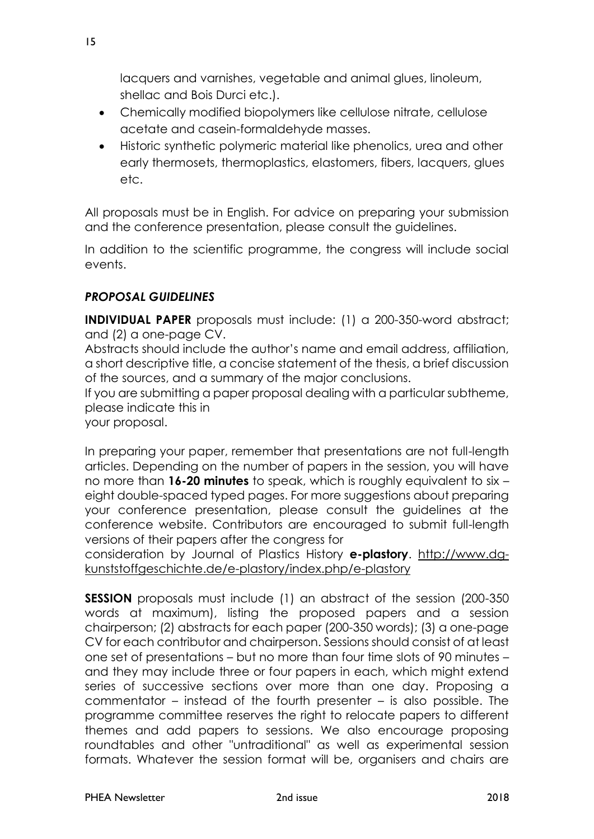lacquers and varnishes, vegetable and animal glues, linoleum, shellac and Bois Durci etc.).

- Chemically modified biopolymers like cellulose nitrate, cellulose acetate and casein-formaldehyde masses.
- Historic synthetic polymeric material like phenolics, urea and other early thermosets, thermoplastics, elastomers, fibers, lacquers, glues etc.

All proposals must be in English. For advice on preparing your submission and the conference presentation, please consult the guidelines.

In addition to the scientific programme, the congress will include social events.

#### *PROPOSAL GUIDELINES*

**INDIVIDUAL PAPER** proposals must include: (1) a 200-350-word abstract; and (2) a one-page CV.

Abstracts should include the author's name and email address, affiliation, a short descriptive title, a concise statement of the thesis, a brief discussion of the sources, and a summary of the major conclusions.

If you are submitting a paper proposal dealing with a particular subtheme, please indicate this in

your proposal.

In preparing your paper, remember that presentations are not full-length articles. Depending on the number of papers in the session, you will have no more than **16-20 minutes** to speak, which is roughly equivalent to six – eight double-spaced typed pages. For more suggestions about preparing your conference presentation, please consult the guidelines at the conference website. Contributors are encouraged to submit full-length versions of their papers after the congress for

consideration by Journal of Plastics History **e-plastory**. http://www.dgkunststoffgeschichte.de/e-plastory/index.php/e-plastory

**SESSION** proposals must include (1) an abstract of the session (200-350 words at maximum), listing the proposed papers and a session chairperson; (2) abstracts for each paper (200-350 words); (3) a one-page CV for each contributor and chairperson. Sessions should consist of at least one set of presentations – but no more than four time slots of 90 minutes – and they may include three or four papers in each, which might extend series of successive sections over more than one day. Proposing a commentator – instead of the fourth presenter – is also possible. The programme committee reserves the right to relocate papers to different themes and add papers to sessions. We also encourage proposing roundtables and other "untraditional" as well as experimental session formats. Whatever the session format will be, organisers and chairs are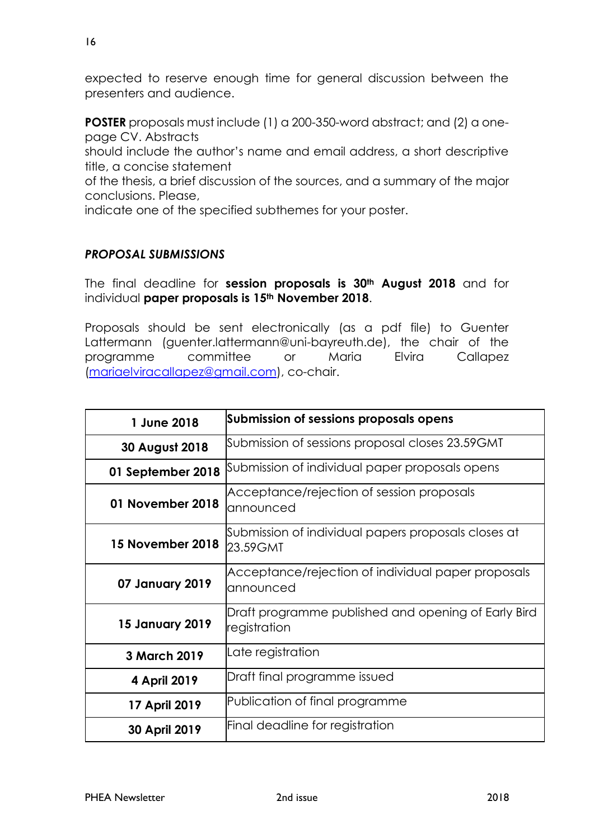expected to reserve enough time for general discussion between the presenters and audience.

**POSTER** proposals must include (1) a 200-350-word abstract; and (2) a onepage CV. Abstracts

should include the author's name and email address, a short descriptive title, a concise statement

of the thesis, a brief discussion of the sources, and a summary of the major conclusions. Please,

indicate one of the specified subthemes for your poster.

#### *PROPOSAL SUBMISSIONS*

The final deadline for **session proposals is 30th August 2018** and for individual **paper proposals is 15th November 2018**.

Proposals should be sent electronically (as a pdf file) to Guenter Lattermann (guenter.lattermann@uni-bayreuth.de), the chair of the programme committee or Maria Elvira Callapez [\(mariaelviracallapez@gmail.com\)](mailto:mariaelviracallapez@gmail.com), co-chair.

| 1 June 2018            | Submission of sessions proposals opens                              |
|------------------------|---------------------------------------------------------------------|
| 30 August 2018         | Submission of sessions proposal closes 23.59GMT                     |
| 01 September 2018      | Submission of individual paper proposals opens                      |
| 01 November 2018       | Acceptance/rejection of session proposals<br>announced              |
| 15 November 2018       | Submission of individual papers proposals closes at<br>23.59 GMT    |
| 07 January 2019        | Acceptance/rejection of individual paper proposals<br>announced     |
| <b>15 January 2019</b> | Draft programme published and opening of Early Bird<br>registration |
| 3 March 2019           | Late registration                                                   |
| 4 April 2019           | Draft final programme issued                                        |
| 17 April 2019          | Publication of final programme                                      |
| 30 April 2019          | Final deadline for registration                                     |